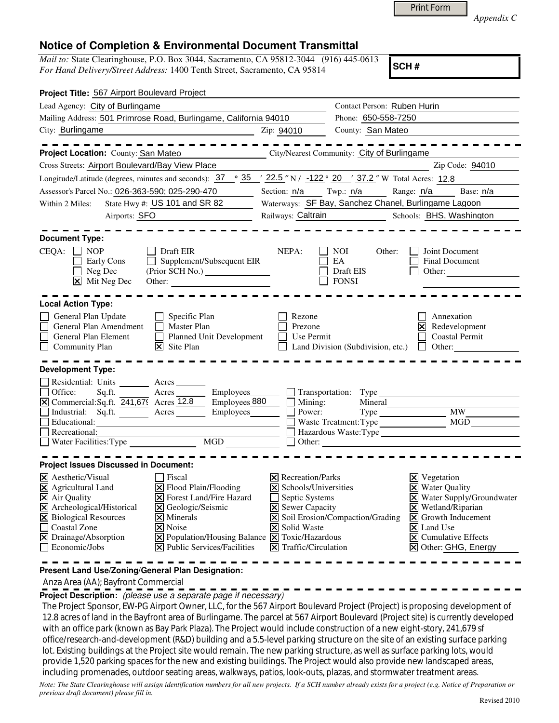|  | <b>Print Form</b> |
|--|-------------------|
|  |                   |

*Appendix C* 

## **Notice of Completion & Environmental Document Transmittal**

*Mail to:* State Clearinghouse, P.O. Box 3044, Sacramento, CA 95812-3044 (916) 445-0613 *For Hand Delivery/Street Address:* 1400 Tenth Street, Sacramento, CA 95814

**SCH #**

| Project Title: 567 Airport Boulevard Project                                                                                                                                                                                                                                                                                                                                                                                                                         |                                                                                                                                                                         |                                                   |                                                                                                                                                                                                                                                                             |
|----------------------------------------------------------------------------------------------------------------------------------------------------------------------------------------------------------------------------------------------------------------------------------------------------------------------------------------------------------------------------------------------------------------------------------------------------------------------|-------------------------------------------------------------------------------------------------------------------------------------------------------------------------|---------------------------------------------------|-----------------------------------------------------------------------------------------------------------------------------------------------------------------------------------------------------------------------------------------------------------------------------|
| Lead Agency: City of Burlingame                                                                                                                                                                                                                                                                                                                                                                                                                                      | Contact Person: Ruben Hurin                                                                                                                                             |                                                   |                                                                                                                                                                                                                                                                             |
| Mailing Address: 501 Primrose Road, Burlingame, California 94010                                                                                                                                                                                                                                                                                                                                                                                                     |                                                                                                                                                                         | Phone: 650-558-7250                               |                                                                                                                                                                                                                                                                             |
| City: Burlingame                                                                                                                                                                                                                                                                                                                                                                                                                                                     | Zip: 94010                                                                                                                                                              | County: San Mateo                                 |                                                                                                                                                                                                                                                                             |
| Project Location: County: San Mateo                                                                                                                                                                                                                                                                                                                                                                                                                                  |                                                                                                                                                                         | City/Nearest Community: City of Burlingame        |                                                                                                                                                                                                                                                                             |
| Cross Streets: Airport Boulevard/Bay View Place                                                                                                                                                                                                                                                                                                                                                                                                                      |                                                                                                                                                                         |                                                   | Zip Code: 94010                                                                                                                                                                                                                                                             |
| Longitude/Latitude (degrees, minutes and seconds): $37 \degree$ $35 \degree$ $22.5 \degree$ N / -122 $\degree$ 20 $\degree$ 37.2 $\degree$ W Total Acres: 12.8                                                                                                                                                                                                                                                                                                       |                                                                                                                                                                         |                                                   |                                                                                                                                                                                                                                                                             |
| Assessor's Parcel No.: 026-363-590; 025-290-470                                                                                                                                                                                                                                                                                                                                                                                                                      |                                                                                                                                                                         |                                                   | Section: n/a Twp.: n/a Range: n/a Base: n/a                                                                                                                                                                                                                                 |
| State Hwy #: US 101 and SR 82<br>Within 2 Miles:                                                                                                                                                                                                                                                                                                                                                                                                                     |                                                                                                                                                                         |                                                   | Waterways: SF Bay, Sanchez Chanel, Burlingame Lagoon                                                                                                                                                                                                                        |
| Airports: SFO                                                                                                                                                                                                                                                                                                                                                                                                                                                        |                                                                                                                                                                         |                                                   | Railways: Caltrain Schools: BHS, Washington                                                                                                                                                                                                                                 |
| <b>Document Type:</b><br>$CEQA: \Box NP$<br>Draft EIR<br>Supplement/Subsequent EIR<br>Early Cons<br>Neg Dec<br>$\boxed{\mathsf{X}}$ Mit Neg Dec                                                                                                                                                                                                                                                                                                                      | NEPA:                                                                                                                                                                   | NOI.<br>Other:<br>EA<br>Draft EIS<br><b>FONSI</b> | Joint Document<br><b>Final Document</b><br>Other:                                                                                                                                                                                                                           |
| <b>Local Action Type:</b>                                                                                                                                                                                                                                                                                                                                                                                                                                            |                                                                                                                                                                         |                                                   |                                                                                                                                                                                                                                                                             |
| General Plan Update<br>$\Box$ Specific Plan<br>General Plan Amendment<br>Master Plan<br>General Plan Element<br>Planned Unit Development<br>Community Plan<br>$ \mathsf{X} $ Site Plan                                                                                                                                                                                                                                                                               | Rezone<br>Prezone<br>Use Permit                                                                                                                                         | Land Division (Subdivision, etc.)                 | Annexation<br><b>X</b> Redevelopment<br><b>Coastal Permit</b><br>    Other:                                                                                                                                                                                                 |
| <b>Development Type:</b><br>Residential: Units ________ Acres_                                                                                                                                                                                                                                                                                                                                                                                                       |                                                                                                                                                                         |                                                   |                                                                                                                                                                                                                                                                             |
| Office:<br>Sq.ft. Acres<br>Employees_                                                                                                                                                                                                                                                                                                                                                                                                                                |                                                                                                                                                                         | $\Box$ Transportation: Type                       |                                                                                                                                                                                                                                                                             |
| $\overline{X}$ Commercial: Sq.ft. $\overline{241,67}$ Acres 12.8<br>Employees 880                                                                                                                                                                                                                                                                                                                                                                                    | $\blacksquare$ Mining:                                                                                                                                                  | Mineral                                           |                                                                                                                                                                                                                                                                             |
| Industrial: Sq.ft. Acres Employees                                                                                                                                                                                                                                                                                                                                                                                                                                   | Power:                                                                                                                                                                  | $Type \_$                                         | MW                                                                                                                                                                                                                                                                          |
| Educational:<br>$\Box$ Recreational:                                                                                                                                                                                                                                                                                                                                                                                                                                 |                                                                                                                                                                         | Waste Treatment: Type<br>Hazardous Waste: Type    | MGD                                                                                                                                                                                                                                                                         |
| MGD<br>Water Facilities: Type                                                                                                                                                                                                                                                                                                                                                                                                                                        |                                                                                                                                                                         | Other:                                            |                                                                                                                                                                                                                                                                             |
|                                                                                                                                                                                                                                                                                                                                                                                                                                                                      |                                                                                                                                                                         |                                                   |                                                                                                                                                                                                                                                                             |
| <b>Project Issues Discussed in Document:</b>                                                                                                                                                                                                                                                                                                                                                                                                                         |                                                                                                                                                                         |                                                   |                                                                                                                                                                                                                                                                             |
| X Aesthetic/Visual<br>Fiscal<br>X Agricultural Land<br>X Flood Plain/Flooding<br>X Air Quality<br><b>X</b> Forest Land/Fire Hazard<br>X Archeological/Historical<br>X Geologic/Seismic<br>X Biological Resources<br>$\times$ Minerals<br><b>Coastal Zone</b><br><b> × </b> Noise<br>X Drainage/Absorption<br>$\boxed{\mathsf{X}}$ Population/Housing Balance $\boxed{\mathsf{X}}$ Toxic/Hazardous<br>$ \mathbf{\nabla} $ Public Services/Facilities<br>Economic/Jobs | $\boxtimes$ Recreation/Parks<br>X Schools/Universities<br>Septic Systems<br><b>X</b> Sewer Capacity<br>$ \mathsf{X} $ Solid Waste<br>$ \mathsf{X} $ Traffic/Circulation | X Soil Erosion/Compaction/Grading                 | $\boxtimes$ Vegetation<br><b>X</b> Water Quality<br>X Water Supply/Groundwater<br>$\boxtimes$ Wetland/Riparian<br>$\vert\mathbf{X}\vert$ Growth Inducement<br>$\overline{\mathsf{x}}$ Land Use<br>$\overline{\mathsf{x}}$ Cumulative Effects<br><b>X</b> Other: GHG, Energy |

**Present Land Use/Zoning/General Plan Designation:**

Anza Area (AA); Bayfront Commercial

**Project Description:** (please use a separate page if necessary)

 The Project Sponsor, EW-PG Airport Owner, LLC, for the 567 Airport Boulevard Project (Project) is proposing development of 12.8 acres of land in the Bayfront area of Burlingame. The parcel at 567 Airport Boulevard (Project site) is currently developed with an office park (known as Bay Park Plaza). The Project would include construction of a new eight-story, 241,679 sf office/research-and-development (R&D) building and a 5.5-level parking structure on the site of an existing surface parking lot. Existing buildings at the Project site would remain. The new parking structure, as well as surface parking lots, would provide 1,520 parking spaces for the new and existing buildings. The Project would also provide new landscaped areas, including promenades, outdoor seating areas, walkways, patios, look-outs, plazas, and stormwater treatment areas.

*Note: The State Clearinghouse will assign identification numbers for all new projects. If a SCH number already exists for a project (e.g. Notice of Preparation or previous draft document) please fill in.*